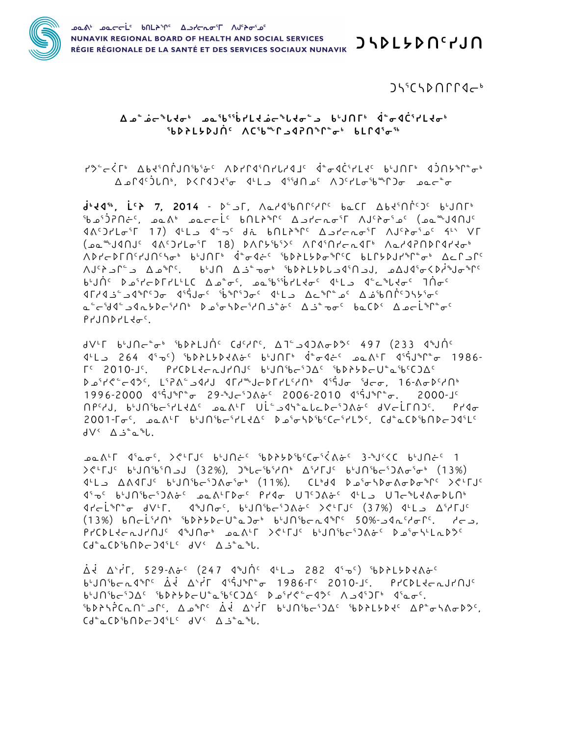

 $J\mathcal{L}^{\mathfrak{c}}(S\mathfrak{d}\cap\Gamma\Gamma\mathfrak{d}\mathfrak{c}^{\mathfrak{b}})$ 

## Δ۵<sup>۵</sup>۵ ماردامه عمد آلی تاریخی در است که تاریخ میکند که در آباد که تاریخ میکند که تاریخ میکند که تاریخ ჼᲮ**Ď**ᲑĹ**ķ** ĎIJႶ⊆ ∧ႺჼᲮ℠Ր⊿4ʔՈჼՐ՟ჾჼ ᲮĹՐ4ჼჾჼჼ

continity and dependence of the contract than the continity and the control of the control of the control of t A د ۱۹ آله او د ۱۹۲۹ کوه او ۱۹۲۴ د ۱۹۲۲ که او د ۱۹۳۴ میلادی است که او د ۱۹ آله د ۱۹ آله د ۱۹ آله د ۱۹ آله د ۱۹

J.10", L.2 7, 2014 - D<sup>e</sup> Jr, AardibOliring bach Abdinney bunne ANYSTAL MACHEST 18 ACHEST 2019 CALL ALTE ALAROR CALL 2019 JUNUS ^D۲-PLU٬۲JU٬۲۹۰ bŀJULŀ À≞σ∢÷٬ ჼbDኦLط»բ®ՐՙՀ bLՐեքJՐեֆՐ՟σե ∆⊂ԵյՐՙ  $\Lambda J^c$ ىل  $\Lambda J^c$ ى كى 141 $\Lambda J^c$ ى بىل 1412 كى بىل ئىل بىل بىل ئىل ئىل بىل ئىل كى بىل كى بىل بىل بىل ئىل ئىل ئىل ئىل ئ  $b^{\iota}J\cap^c\quad\triangleright\Delta^cI\cap^c\cap^cI^{\perp}LC\quad\Delta\Delta^c\sigma^c,\quad\Delta\Delta^c b^{c_5}\dot{b}^{\prime}L\cdot\sigma^c\quad\mathbb{C}^{\perp}L\cdot\mathbb{C}\quad\mathbb{C}^{\perp}L\cdot\sigma^c\quad\mathbb{C}^{\perp}L\cdot\mathbb{C}^{\perp}L\cdot\mathbb{C}^{\perp}L\cdot\mathbb{C}^{\perp}L\cdot\mathbb{C}^{\perp}L\cdot\mathbb{C}^{\perp}L\cdot\mathbb{C}^{\perp}L\cdot\$ G د المائي (المائي د عالية المعالية المعالية المعالية المعالية المعالية المعالية المعالية المعالية ا  $P$ <sub>1</sub>

JV'T b'JNc`+ SDALJN' CJ'YL'. A T`\_JQJA&D' 497 (233 4°JN' J'L 264 (1986) المعمد المعارضين المعارضين المعارضين المعارضين المعارضين المعارضين المعارضين المعارضين المعارضين rc 2010-Jc. PrCDLte-LJrNJc bunsbesdacsbP>>DeUtaSbcOAc ᠊ᢂᢣ᠈᠙᠆ᡒ᠀ᢄ᠆᠂ᢀᠻ᠂᠂᠕ᡰ᠈᠗ᡰᢣ᠉᠆ᢂ᠆ᡃ᠓ᡰ᠉ᠰ᠈ᡰᡗ᠉᠂ᡕᢠ᠐ᢖ᠅᠕ᡪᢄ᠆᠀ᠻᡪ᠆᠈ᠻᢄᢇᢃ᠇᠈  $1996 - 2000$   $45 \div 29 - 29 - 160$   $65 - 2006 - 2010$   $45 \div 2000 - 16$  $\Lambda^{p}$ ، ۱٬۶٬۹۸٬ میلادی کارکار است میلاد کارکور کارک $\Lambda^{p}$ مه در ۱٬۶٬۹۸٬ میلاد کارکور است میلاد که در است کارک  $2001$ - $\Gamma\sigma^c$ ,  $\Delta\Delta\Lambda^c\Gamma$  bynsb $\sigma^c\Gamma L$ sde D $\sigma^c\sigma$ SDsbcc $\sigma^c\Gamma L$ scde CDsbnD $\sigma$ DdsLe  $dV^{\prime}$   $\Delta \dot{J}^{\circ}$   $\alpha^{\circ}L$ .

 $\lambda$   $\lambda$ <sup>1</sup>  $\lambda$ <sub>5</sub>  $\lambda$ <sub>5</sub>  $\lambda$ <sub>6</sub> (32%),  $\lambda$  $\lambda$ <sub>5</sub>  $\lambda$ <sub>5</sub> (32%)  $\lambda$ <sub>5</sub> (32%)  $\lambda$ <sub>5</sub> (33%) ַ לריכוֹ *א*יר ל≁ון שייט אין די לאני (37%) שירבוי האיני היים אין לינ (13%)  $b \Lambda c L^{5}$ / $\Lambda^{6}$   $b \Lambda^{5} b + b \Lambda^{2} b - U^{2} a$ ) $\sigma^{6}$   $b^{1}$ J $\Lambda^{6} b - a \Lambda^{6} \Gamma^{6}$  50% $a^{1}$  $b^{1}$  $c^{1}$  $d^{1}$  $d^{1}$  $Cd^{\circ}aCD^{\circ}b\Omega bCD4^{\circ}L^{\circ}dV^{\circ}A3^{\circ}a^{\circ}b.$ 

Δ. ΔΥΡΓ, 529-δε<sup>ς</sup> (247 ٩٩)Λ΄ 1-L 282 (1, -ος) (6DPL5D (δεν byniberding Ad Air disjoner 1986-50 2010-19, ProdleerJrnje  $b^{1}$ JN ${}^{6}$ b $c^{5}$ ) $\Delta$ c  ${}^{6}b$  $\Delta$ b $b^{2}b^{2}$ b $c^{2}$ ) $\Delta$ c  $b^{1}c^{2}$ ) $\Delta$ c  $c^{2}$ <sup>5</sup>6 كم - β كار - β كار - β كار - β كم كار - كار - كار - كار - كار - كار - كار - كار - كار - كار - ك  $Cd^{\circ}aCD^{\circ}b\Omega bCDQ^{\circ}L^{\circ}dV^{\circ}AJ^{\circ}a^{\circ}L.$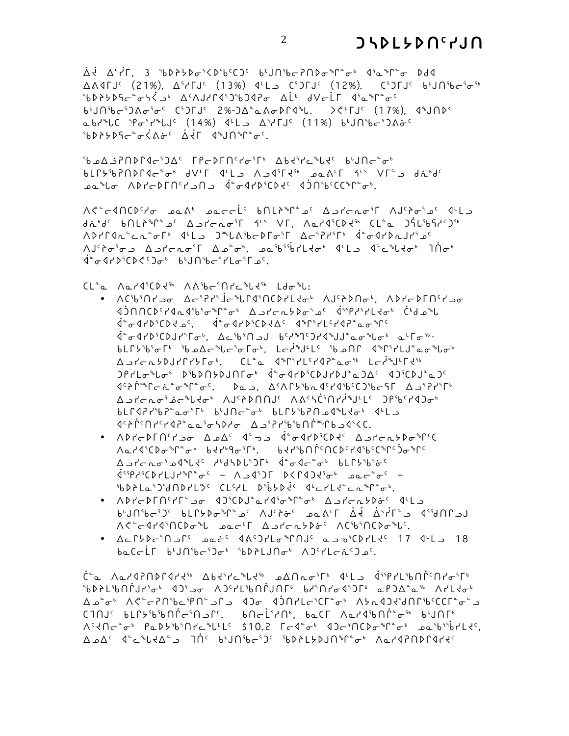Å₹ ∆<sup>\</sup>ŕΓ, 3 ჼᲮ▷ᲑᲧ�<del>ℴ</del>ˤK▷ჼᲮºC)<sup>ϲ</sup> ᲮᡃJՈჼᲮ⊂ʔႶ▷ơ ჼՐ ՟ơ ଏ°ჲ ჼՐ ՟ơ Ddଏ  $\triangle A$ 4TJ<sup>c</sup> (21%),  $\triangle^5$ itJ<sup>c</sup> (13%)  $4$ <sup>L</sup>L C<sup>6</sup>)TJ<sup>c</sup> (12%), C<sup>6</sup>)TJ<sup>c</sup> bun<sup>s</sup>bc<sup>5</sup>o<sup>-6</sup> 

6'JN`bc`JAo`o` C`JFJ` 2%-JA`~AoDP4``L. ><'FJ` (17%). 4`JND`  $\Delta$ bd<sup>®</sup>LC 'Po'r<sup>®</sup>LJ<sup>c</sup> (14%) d'L  $\Delta$ 'rIJ<sup>c</sup> (11%) b'JN'bc'JAo<sup>-c</sup> GBAYAGE ARE ARE CONSTRACT Ibad SPNDP4cIDAC FPcDFNStoSP AbditcPLdC bunc<sup>a</sup>ob bLCY'bPNDC4c"o" dV'L 4'L AJ4'L4" paA'L 4'' VL" dibd'

 $\Lambda \zeta^c - 4\Lambda C \mathfrak{d}^c \sigma^c \sigma^d \mathfrak{d}^d \mathfrak{d}^d \mathfrak{d}^c \mathfrak{d}^c \mathfrak{d}^c \mathfrak{d}^c \mathfrak{d}^c \mathfrak{d}^c \mathfrak{d}^c \mathfrak{d}^c \mathfrak{d}^c \mathfrak{d}^c \mathfrak{d}^c \mathfrak{d}^c \mathfrak{d}^c \mathfrak{d}^c \mathfrak{d}^c \mathfrak{d}^c \mathfrak{d}^c \mathfrak{d}^c \mathfrak{d}^c \$ didde bnLish of Astract find Vr. Aaddicpdin CL.a Jitibish'Sind January Jinder

• ለርჼኔჼበ۲᠊┙<sup>ჾ</sup> ΔϲჼჇґჼİϲჼႱՐጳჼႶርϷґԼ<del>ᡧ</del>ჾჼ ለJ<sup>ჺ</sup>ᲑϷႶჾჼ. ለϷґϲϷ୮Ⴖჼ*۲*᠊┙ჾ JANCD٬۲۹٬۵۹٬۱۵٬۰۴٬۴۵٬۵۰٬۵۲٬۵۷٬۵۴٬۵۴٬۵۴٬۵۸/۲۵/۲۵/۲۵/۵۸/۲۵/۵۸/۲۵/۵۸/۲۵/۵۸/۲۵/۵۸/۲۵/۵۸/۲۵/۵۸/۲۵/۵۸/۵۸/

 $bL\Gamma b$ <sup>5</sup>b<sup>5</sup> $\sigma\Gamma^b$  5be  $\Delta c$  $b$ u $c$ 5 $\sigma$  $\Gamma$ ,  $Lc$  $b$  $b$ u $c$  5 $c$  $b$  $d$  $c$  $n$  $b$  $c$  $b$  $d$  $b$  $c$  $b$  $c$  $b$  $c$  $b$ 

᠘ᠴᠨ*ᡃᡄ*᠊ᡅᢣ**ᢧ**᠑ᡰᡗ᠘ᢣᡗᠥᡃ᠂᠂᠆ᢗ᠌ᠮ᠋ᢩᠣ᠂᠂ᠿᠾ᠄ᢣᡘᢃ᠂ᢆᠥᡥ᠂᠘᠆*ᢥ*ᢀ᠋  $JPIL\sigma^bL\sigma^b$   $D^6bDQbJDJ\Gamma\sigma^b$   $\dot{A}^a\sigma$  $dPb^6CDJPD^a\Omega^c$   $dJ^6CDJ^a\Omega^c$  $\langle 1^c \rangle_1^{1}^{a} \gamma_1^{a} \gamma_2^{b} \gamma_2^{b} \gamma_3^{c} \gamma_4^{c} \gamma_5^{c} \gamma_6^{c} \gamma_5^{c} \gamma_6^{c} \gamma_7^{c} \gamma_8^{c} \gamma_9^{c} \gamma_9^{c} \gamma_9^{c} \gamma_9^{c} \gamma_9^{c} \gamma_9^{c} \gamma_9^{c} \gamma_9^{c} \gamma_9^{c} \gamma_9^{c} \gamma_9^{c} \gamma_9^{c} \gamma_9^{c} \gamma_9^{c} \gamma_9^{c} \gamma_9^{c} \gamma_9^{c} \gamma_9^{c} \$  $\Delta^2 \Delta^2 \sigma^4 \sigma^5 \Delta^2 \sigma^6 \sigma^6 \Delta^4 \sigma^6 \Delta^4 \sigma^6 \Delta^2 \sigma^6 \Delta^2 \sigma^6 \Delta^2 \sigma^6 \Delta^2 \sigma^6 \Delta^2 \sigma^6 \Delta^2 \sigma^6 \Delta^2 \sigma^6 \Delta^2 \sigma^6 \Delta^2 \sigma^6 \Delta^2 \sigma^6 \Delta^2 \sigma^6 \Delta^2 \sigma^6 \Delta^2 \sigma^6 \Delta^2 \sigma^6 \Delta^2 \sigma^6 \Delta^2 \sigma^6 \Delta^2 \sigma^6 \Delta^2 \sigma^6 \Delta^2 \sigma^6 \Delta^2 \sigma^6 \Delta^2 \sigma^6 \Delta^2 \sigma^6$ 

<sup>0</sup> ^ ADYCDEN<sup>c</sup>Y Jan<sup>a-</sup>D<sup>-</sup> Jang-11D<sup>5</sup>CD2<sup>c</sup> A ᠕ҩ᠘᠊ᡏ᠙᠐ᡒᢀ᠘ᡒᢀᡁ᠅ᡐ᠀᠐᠅ᡳ᠉᠐ᢣᡝᡲ᠕ᠾ᠕ᡗ᠅᠐᠐ᢣ᠈ᢞ᠖

ل د\_۵۲۱ و-۲°۲۱⁄ کے باہی میں کی جونکار کے عام کو (کارکو) کا کا کا کا کا کا کا کا ک

• AcCtDeinsC pati daispleting appiculed 17 dils 18

C<sup>+</sup>a AadRNDPCdrd<sup>s6</sup> Abdire bld<sup>s6</sup> aANaoiF<sup>6</sup> dtLa disprishNpcnroiF6 <sup>16</sup>0714'6' 47'-0' AD'-0' AD'-0' BA'Nr BA'N-0' BA'N-0' AD'-0' AD'-0'  $\Delta a^* \sigma^* \wedge \zeta^* \sigma^* \cap \Gamma^* b \sigma^* \cap \Gamma \rightarrow 0 \quad \text{and} \quad \Gamma^* \cap \Gamma^* b \sigma^* \wedge b \sigma^* \rightarrow 0 \quad \text{and} \quad \Gamma^* b \sigma^* \wedge b \sigma^* b \sigma^* \rightarrow 0 \quad \text{and} \quad \Gamma^* b \sigma^* \rightarrow 0 \quad \text{and} \quad \Gamma^* b \sigma^* \rightarrow 0 \quad \text{and} \quad \Gamma^* b \sigma^* \rightarrow 0 \quad \text{and} \quad \Gamma^* b \sigma^* \rightarrow 0 \quad \text{and} \quad \Gamma^* b \sigma^* \rightarrow$ CINJ⊆ bLՐሃ՟b՟bՈՐ໋~՟Ո౨Ր՟. bՈ~L՟YՈՒ. bٌCΓ Λ∝Y۹՟bՈՐ՟՟Ժ՟Խ bԿՈՐՒ Aم۵<sup>۲</sup> ۹<sup>۰</sup>۲۹۶۵۵۵۰ - ۲۵٬۵۷۴۵۵۰ - ۲۵٬۵۷۴۵۰ - ۲۵۶۵۴۵۵۰ - ۵۵۵۵ - ۵۵۵۵

bLC42r'b2°ao'Ch b'JNc°o' bLC5'b2Na4°Udo' 4'La

 $\Delta$ ے۲جمعے مو $\Delta$ گار کے دوستان کا استعمار کے دوستان کے دوستان کے دوستان کے دوستان کے دوستان کے دوستان کے دوستان کے د  $\frac{1}{2}$   $\frac{1}{2}$   $\frac{1}{2}$   $\frac{1}{2}$   $\frac{1}{2}$   $\frac{1}{2}$   $\frac{1}{2}$   $\frac{1}{2}$   $\frac{1}{2}$   $\frac{1}{2}$   $\frac{1}{2}$   $\frac{1}{2}$   $\frac{1}{2}$   $\frac{1}{2}$   $\frac{1}{2}$   $\frac{1}{2}$   $\frac{1}{2}$   $\frac{1}{2}$   $\frac{1}{2}$   $\frac{1}{2}$   $\frac{1}{2}$   $\frac{1}{2}$  SbPPLaSJSANDPL2C CLSPL DSbDDds duchLdscanners. • ٨١٢-١٢٩٢٩-٩ ٩٥٠٤١٤ ماركان ماركان بالمحمول بالمحمول المحمول المحمول المحمول المحمول المحمول المحمول المحمول ا

 $AC^c$   $CA^d$   $AC^b$  $CD^b$  $CD^b$   $DC^c$  $CD^c$   $DC^c$  $CD^c$   $CD^c$  $CD^c$  $CD^c$ 

 $baCcL$   $bU0$ <sup> $bc3c$ </sup>  $bD2LJ0c$   $\Lambda$ <sup>2</sup> $CLc1c3c$ 

ADYPIA CLA OF ALLS JALASOCPIOST ACSPYSTS ACOYPALLYS AJ٬ مونه ها ده موند الم المعرف المعرفين المعرفين المعرفين المعرفين المعرفين المعرفين المعرفين المعرف

ـەھ ئام AD۲-D۲N۲ مۇ ھەرەبەلەرە ئەن ئەن ئەن ئەن ئەھمە

 $d^{\circ} \sigma$ 4 $d^{\circ}$ CD $C^{\circ}$ ) $\sigma^{\circ}$  bunsheirless of

 $CL^{\circ}$   $\alpha$   $\Lambda \alpha$   $d^{\circ}CDd^{\circ}$   $\Lambda \Lambda^{\circ}bc^{\circ} \Pi^{\prime}c^{\circ}bd^{\circ}$   $Ld\sigma^{\circ}b$ :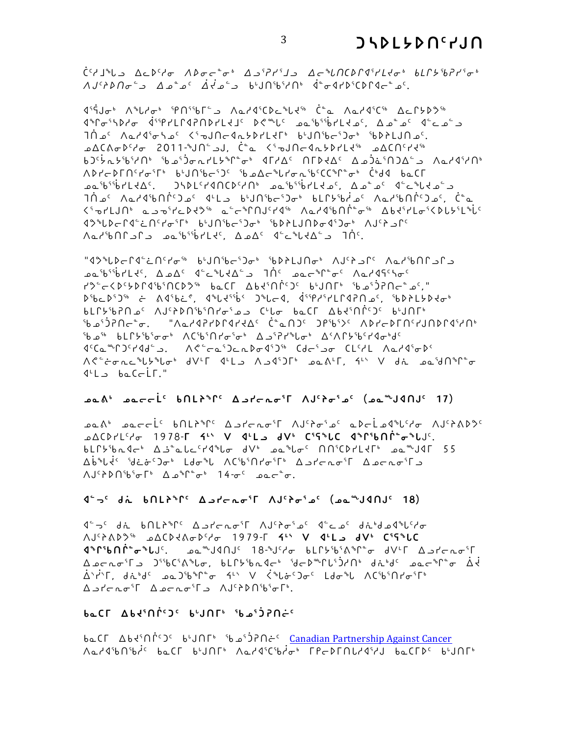$\check{C}^c \wr \Box^s U \supset \Delta \subset P^c \wr \sigma \quad \Lambda \triangleright \sigma \subset^s \sigma^s \quad \Delta \supset^c P \wr^c I \supset \Delta \subset^s \iota \Lambda C \triangleright \Gamma \lhd^c I \wr I \prec \sigma^s \quad bL \Gamma \not \vdash^c b P \wr^c \sigma^s$ . که ۵-۲۵۲۵۴۵۶۵۴۵ ۸/۱٬۱۵٬۲۸۴ د کونج۵ که ۵۰ د ۲۵٬۶۵۸۶۰ ک

Jijor Ashari A Charlon A Charlo C Charlon C Charlon A Charlon Jamas January Jamas Charlon A Charlon A  $4^{\circ}$ C  $\sigma$ <sup>5</sup> 14  $\sigma$  3  $\sigma$  3  $\sigma$  45  $\sigma$  3  $\sigma$  14  $\sigma$  14  $\sigma$  14  $\sigma$  14  $\sigma$  14  $\sigma$  15  $\sigma$  14  $\sigma$  15  $\sigma$ ■∆⊆۵σινιγε 2011-ზJN° JD (απολογιγε ΔΣΟΛιγιγε \*ιλο<sup>ι β</sup>ιλοι د کد(ח'یوزمر) ترکیب «الحرار» (προς εναινικον) د المنظر المنظر د المنظر الحرار المنظر ا AD۲cD۲N۲۲۰۴۴ b۴JN۹bc۹J۲ ۹b۵c-۱۴۲۰۵۰۵٬۲۲۲۰۰۰ Č۴J۹ b۵C۲ ـه۵<sup>۶</sup>و<sup>۶</sup>۶۰ که ۲۰ که ۲۰ که ۲۰ که ۲۰ که ۲۰ که ۲۰ که ۲۰ که ۲۰ که ۲۰ که ۲۰ که ۲۰ که ۲۰ که ۲۰ که ۲۰ که ۲۰ که ۲۰ که ـه") ، كمركانها كمانا كمانا المالي المالي المالي المالي المالي المالي المالي المالي المالي المالي ال  $\langle \sigma^{\mu} \sigma^{\nu} L J \cap \sigma^{\nu} L J \cap \sigma^{\nu} L J \cap \sigma^{\nu} L J \cap \sigma^{\nu} L J \cap \sigma^{\nu} L J \cap \sigma^{\nu} L J \cap \sigma^{\nu} L J \cap \sigma^{\nu} L J \cap \sigma^{\nu} L J \cap \sigma^{\nu} L J \cap \sigma^{\nu} L J \cap \sigma^{\nu} L J \cap \sigma^{\nu} L J \cap \sigma^{\nu} L J \cap \sigma^{\nu} L J \cap \sigma^{\nu} L J \cap \sigma^{\nu} L J \cap \sigma^{\nu} L J \cap \sigma^{\nu} L J \cap \sigma^{\nu} L J \cap \sigma$  $\Lambda$ ar'b $\Lambda$ c)  $\Lambda$ a 1933  $\Lambda$ a  $\Lambda$ c)  $\Lambda$ aribiidi aa  $\Lambda$ c) 10  $\Lambda$ c) 10  $\Lambda$ c).

ב חברו של הירשי לינורי של היום לאחר היו לא היה משלינות ה-15 המשלינור ה-18 היה לא היה היה היה לא היה ה ےمم''ه''فالہ اور لکے مطرف اور اس کے است میں اس اس میں اس اور اس اس اور اس اس اور اس اور اس اور اس اور اس اور ا DSbcDSJS6 = Adsbc C dsLdssbs JsLcd. dsspdsrLLCdPN ps. SbDPL5Ddos €LՐ⊁ჼᲮʔՈ ك` ∧J٬ԴÞՈჼᲮՂ۲ل ده مارا ده كه در هارد كورا در المارور وبا∩۲۰ <sup>1</sup>b-<sup>1</sup>02110pm - "AaddPrPLdrdd" ("an)<sup>c</sup> 2Pb+) AbraphOrddd" ჼᲮឹ ᲮLՐ*ᢣჼ*Ხჼ<del>ჿ</del>ჾჼ ለርჼᲮჼႶ۲ჾჼჾჼ ΔឹჼჇґ<sup></sup>ჼႱჾჼ ΔʹΛՐ*ኦჼ*ᲮჼґϤჾჼᲫჼ A الله عشر من الله عنه من الله عليه من الله عنه الله عنه الله عنه الله عنه عنه عنه عنه عنه عنه من ال  $4L - bc$ 

## **Ab عمددان Adiral Strate Continue is an Adirect** Ademonian Control 17)

عقمه عقددأن 10/1416 كفئوم 10×10 كالمحمولة المحاوية معامراتهم من المحكم المعامر ש∆CD۲L<sup>c</sup>/σ 1978-**Γ 4<sup>L</sup>' V 4LL** dV' Ci5<sup>s</sup>LC d<sup>s</sup>PibNP<sup>+</sup>σ<sup>s</sup>LJ<sup>c</sup>. bLC5'bn4c' Aj'alc'14'bo dV' pa'bo' NN'CDILET' pa"J4F 55 Δb<sup>s</sup>li<sup>2</sup> (الحادية) المعامل الكلمة المعاملة المعاملة المعاملة المعاملة المعاملة المعاملة المعاملة ا 

## $15 - 6$  di bnth<sup>\$</sup>r<sup>c</sup>  $\Delta$ <sub>2</sub> derete<sup>5</sup> AJ<sup>2</sup> de<sup>4</sup> de<sup>4</sup>J40J<sup>c</sup> 18)

 $4^{\circ}$ ى جانا المسلم المسلم المسلم المسلم المسلم المسلم المسلم المسلم المسلم المسلم المسلم المسلم المسلم المسلم المسلم المسلم المسلم المسلم المسلم المسلم المسلم المسلم المسلم المسلم المسلم المسلم المسلم المسلم المسلم المس <u> A ocnoir Jiblihor, blftibredor idedarididae diddi oocalio di</u> 

## beCL APSUULO PAUUL, POSSUS

**be CF** Abd<sup>5</sup> O<sup>c</sup> b<sup>u</sup>JOF<sup>6</sup> (3cd o<sup>5</sup>) PO = Canadian Partnership Against Cancer Aمذكرة Addolpt b - Anddolpt Addolpt Addolpt Anddolpt B - Anddolpt B - Anddolpt Addolpt Addolpt Addolpt A